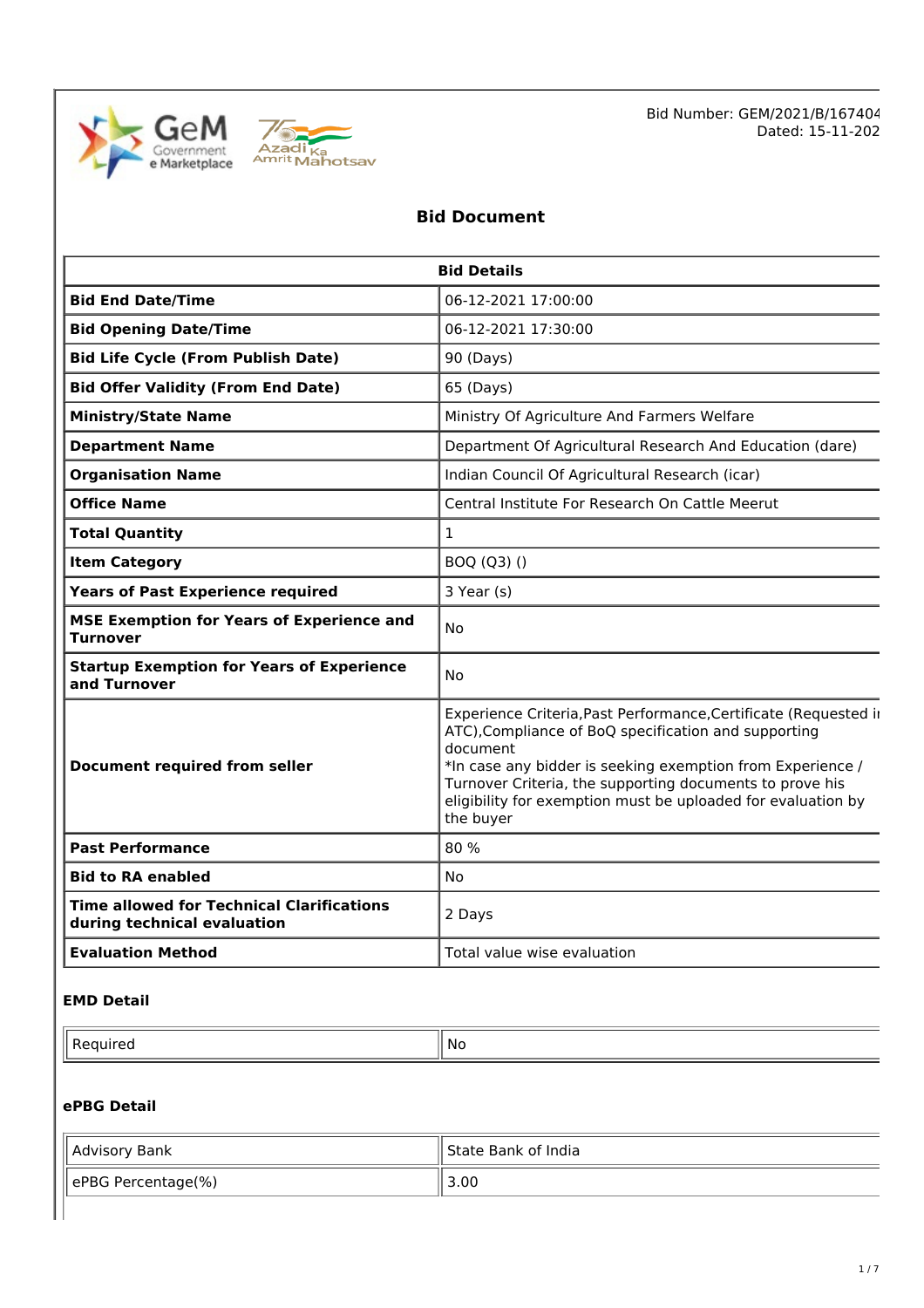



# **Bid Document**

| <b>Bid Details</b>                                                              |                                                                                                                                                                                                                                                                                                                                             |  |  |
|---------------------------------------------------------------------------------|---------------------------------------------------------------------------------------------------------------------------------------------------------------------------------------------------------------------------------------------------------------------------------------------------------------------------------------------|--|--|
| <b>Bid End Date/Time</b>                                                        | 06-12-2021 17:00:00                                                                                                                                                                                                                                                                                                                         |  |  |
| <b>Bid Opening Date/Time</b>                                                    | 06-12-2021 17:30:00                                                                                                                                                                                                                                                                                                                         |  |  |
| <b>Bid Life Cycle (From Publish Date)</b>                                       | 90 (Days)                                                                                                                                                                                                                                                                                                                                   |  |  |
| <b>Bid Offer Validity (From End Date)</b>                                       | 65 (Days)                                                                                                                                                                                                                                                                                                                                   |  |  |
| <b>Ministry/State Name</b>                                                      | Ministry Of Agriculture And Farmers Welfare                                                                                                                                                                                                                                                                                                 |  |  |
| <b>Department Name</b>                                                          | Department Of Agricultural Research And Education (dare)                                                                                                                                                                                                                                                                                    |  |  |
| <b>Organisation Name</b>                                                        | Indian Council Of Agricultural Research (icar)                                                                                                                                                                                                                                                                                              |  |  |
| <b>Office Name</b>                                                              | Central Institute For Research On Cattle Meerut                                                                                                                                                                                                                                                                                             |  |  |
| <b>Total Quantity</b>                                                           | 1                                                                                                                                                                                                                                                                                                                                           |  |  |
| <b>Item Category</b>                                                            | BOQ (Q3) ()                                                                                                                                                                                                                                                                                                                                 |  |  |
| <b>Years of Past Experience required</b>                                        | 3 Year (s)                                                                                                                                                                                                                                                                                                                                  |  |  |
| <b>MSE Exemption for Years of Experience and</b><br><b>Turnover</b>             | No                                                                                                                                                                                                                                                                                                                                          |  |  |
| <b>Startup Exemption for Years of Experience</b><br>and Turnover                | <b>No</b>                                                                                                                                                                                                                                                                                                                                   |  |  |
| <b>Document required from seller</b>                                            | Experience Criteria, Past Performance, Certificate (Requested in<br>ATC), Compliance of BoQ specification and supporting<br>document<br>*In case any bidder is seeking exemption from Experience /<br>Turnover Criteria, the supporting documents to prove his<br>eligibility for exemption must be uploaded for evaluation by<br>the buyer |  |  |
| <b>Past Performance</b>                                                         | 80 %                                                                                                                                                                                                                                                                                                                                        |  |  |
| <b>Bid to RA enabled</b>                                                        | <b>No</b>                                                                                                                                                                                                                                                                                                                                   |  |  |
| <b>Time allowed for Technical Clarifications</b><br>during technical evaluation | 2 Days                                                                                                                                                                                                                                                                                                                                      |  |  |
| <b>Evaluation Method</b>                                                        | Total value wise evaluation                                                                                                                                                                                                                                                                                                                 |  |  |

#### **EMD Detail**

 $\blacksquare$  Required  $\blacksquare$  No

# **ePBG Detail**

| Advisory Bank      | I State Bank of India |
|--------------------|-----------------------|
| ePBG Percentage(%) | 3.00                  |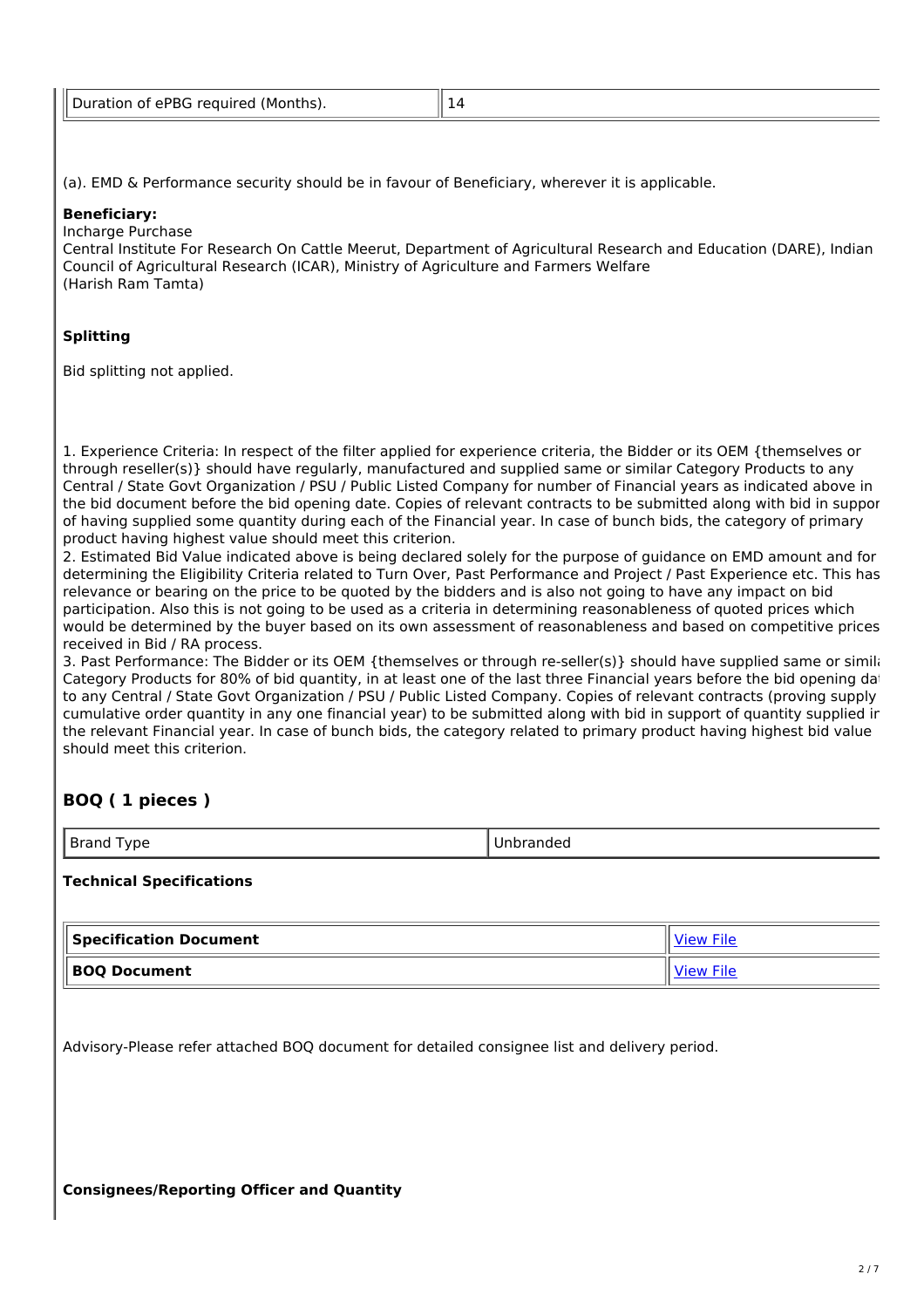| Dura<br>∩f ePRG<br>required<br>(Months)<br>ation |
|--------------------------------------------------|
|--------------------------------------------------|

(a). EMD & Performance security should be in favour of Beneficiary, wherever it is applicable.

#### **Beneficiary:**

Incharge Purchase

Central Institute For Research On Cattle Meerut, Department of Agricultural Research and Education (DARE), Indian Council of Agricultural Research (ICAR), Ministry of Agriculture and Farmers Welfare (Harish Ram Tamta)

# **Splitting**

Bid splitting not applied.

1. Experience Criteria: In respect of the filter applied for experience criteria, the Bidder or its OEM {themselves or through reseller(s)} should have regularly, manufactured and supplied same or similar Category Products to any Central / State Govt Organization / PSU / Public Listed Company for number of Financial years as indicated above in the bid document before the bid opening date. Copies of relevant contracts to be submitted along with bid in suppor of having supplied some quantity during each of the Financial year. In case of bunch bids, the category of primary product having highest value should meet this criterion.

2. Estimated Bid Value indicated above is being declared solely for the purpose of guidance on EMD amount and for determining the Eligibility Criteria related to Turn Over, Past Performance and Project / Past Experience etc. This has relevance or bearing on the price to be quoted by the bidders and is also not going to have any impact on bid participation. Also this is not going to be used as a criteria in determining reasonableness of quoted prices which would be determined by the buyer based on its own assessment of reasonableness and based on competitive prices received in Bid / RA process.

3. Past Performance: The Bidder or its OEM {themselves or through re-seller(s)} should have supplied same or similar Category Products for 80% of bid quantity, in at least one of the last three Financial years before the bid opening dat to any Central / State Govt Organization / PSU / Public Listed Company. Copies of relevant contracts (proving supply cumulative order quantity in any one financial year) to be submitted along with bid in support of quantity supplied in the relevant Financial year. In case of bunch bids, the category related to primary product having highest bid value should meet this criterion.

# **BOQ ( 1 pieces )**

| $\sim$ |
|--------|
|--------|

# **Technical Specifications**

| Specification Document | <b>View File</b> |  |
|------------------------|------------------|--|
| <b>BOO Document</b>    | <b>View File</b> |  |

Advisory-Please refer attached BOQ document for detailed consignee list and delivery period.

**Consignees/Reporting Officer and Quantity**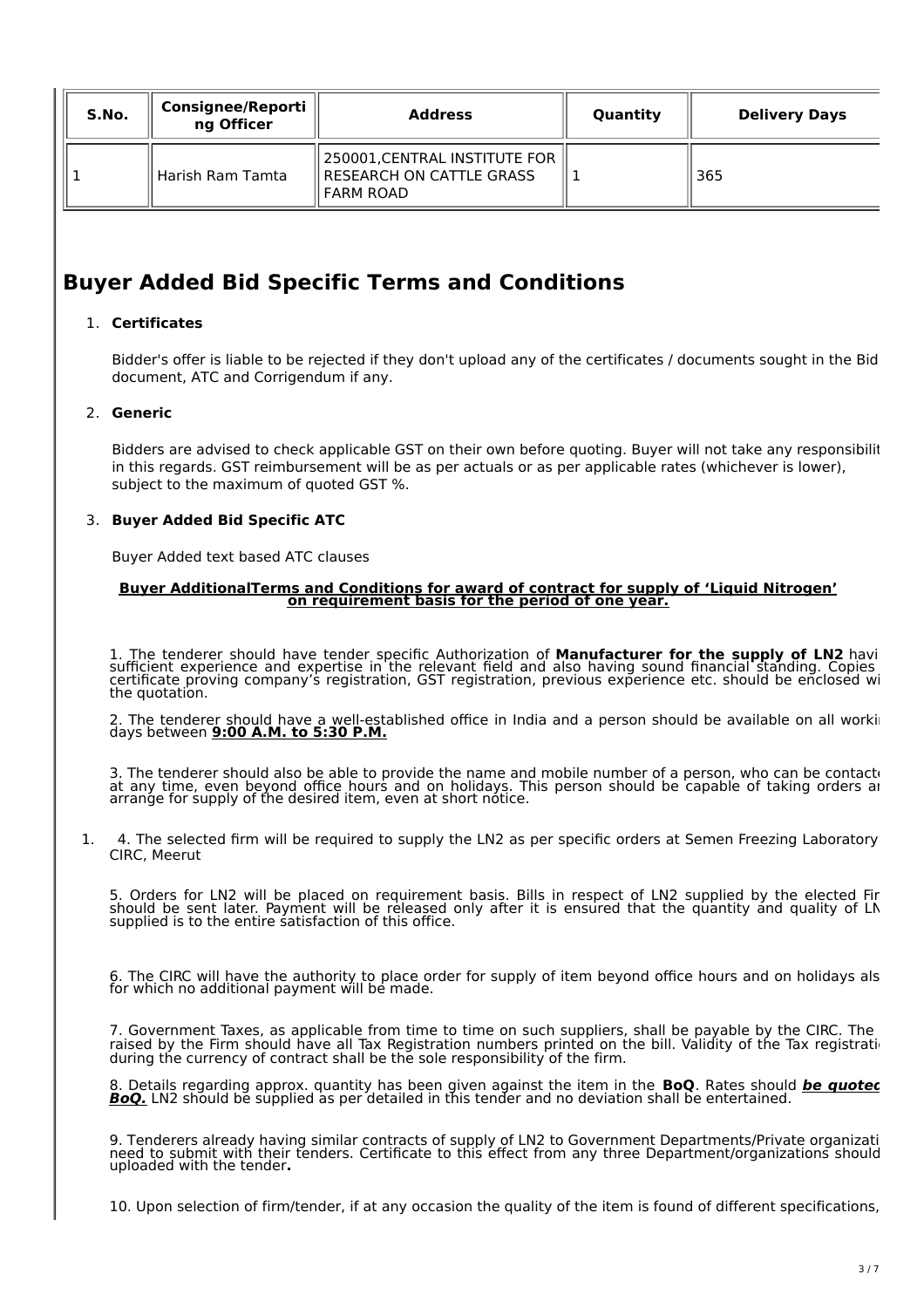| S.No. | <b>Consignee/Reporti</b><br>ng Officer | <b>Address</b>                                                                         | Quantity | <b>Delivery Days</b> |
|-------|----------------------------------------|----------------------------------------------------------------------------------------|----------|----------------------|
|       | Harish Ram Tamta                       | 250001, CENTRAL INSTITUTE FOR<br><b>I RESEARCH ON CATTLE GRASS</b><br><b>FARM ROAD</b> |          | ็ 365                |

# **Buyer Added Bid Specific Terms and Conditions**

# 1. **Certificates**

Bidder's offer is liable to be rejected if they don't upload any of the certificates / documents sought in the Bid document, ATC and Corrigendum if any.

# 2. **Generic**

Bidders are advised to check applicable GST on their own before quoting. Buyer will not take any responsibilit in this regards. GST reimbursement will be as per actuals or as per applicable rates (whichever is lower), subject to the maximum of quoted GST %.

### 3. **Buyer Added Bid Specific ATC**

Buyer Added text based ATC clauses

#### **Buyer AdditionalTerms and Conditions for award of contract for supply of 'Liquid Nitrogen' on requirement basis for the period of one year.**

1. The tenderer should have tender specific Authorization of **Manufacturer for the supply of LN2** having sufficient experience and expertise in the relevant field and also having sound financial standing. Copies certificate proving company's registration, GST registration, previous experience etc. should be enclosed wi the quotation.

2. The tenderer should have a well-established office in India and a person should be available on all working days between **9:00 A.M. to 5:30 P.M.**

3. The tenderer should also be able to provide the name and mobile number of a person, who can be contacted to at any time, even beyond office hours and on holidays. This person should be capable of taking orders an arrange for supply of the desired item, even at short notice.

1. 4. The selected firm will be required to supply the LN2 as per specific orders at Semen Freezing Laboratory CIRC, Meerut

5. Orders for LN2 will be placed on requirement basis. Bills in respect of LN2 supplied by the elected Firm should be sent later. Payment will be released only after it is ensured that the quantity and quality of LN2 supplied is to the entire satisfaction of this office.

6. The CIRC will have the authority to place order for supply of item beyond office hours and on holidays als for which no additional payment will be made.

7. Government Taxes, as applicable from time to time on such suppliers, shall be payable by the CIRC. The raised by the Firm should have all Tax Registration numbers printed on the bill. Validity of the Tax registrati during the currency of contract shall be the sole responsibility of the firm.

8. Details regarding approx. quantity has been given against the item in the **BoQ**. Rates should **be quoted in BoQ.** LN2 should be supplied as per detailed in this tender and no deviation shall be entertained.

9. Tenderers already having similar contracts of supply of LN2 to Government Departments/Private organizati need to submit with their tenders. Certificate to this effect from any three Department/organizations should uploaded with the tender**.**

10. Upon selection of firm/tender, if at any occasion the quality of the item is found of different specifications,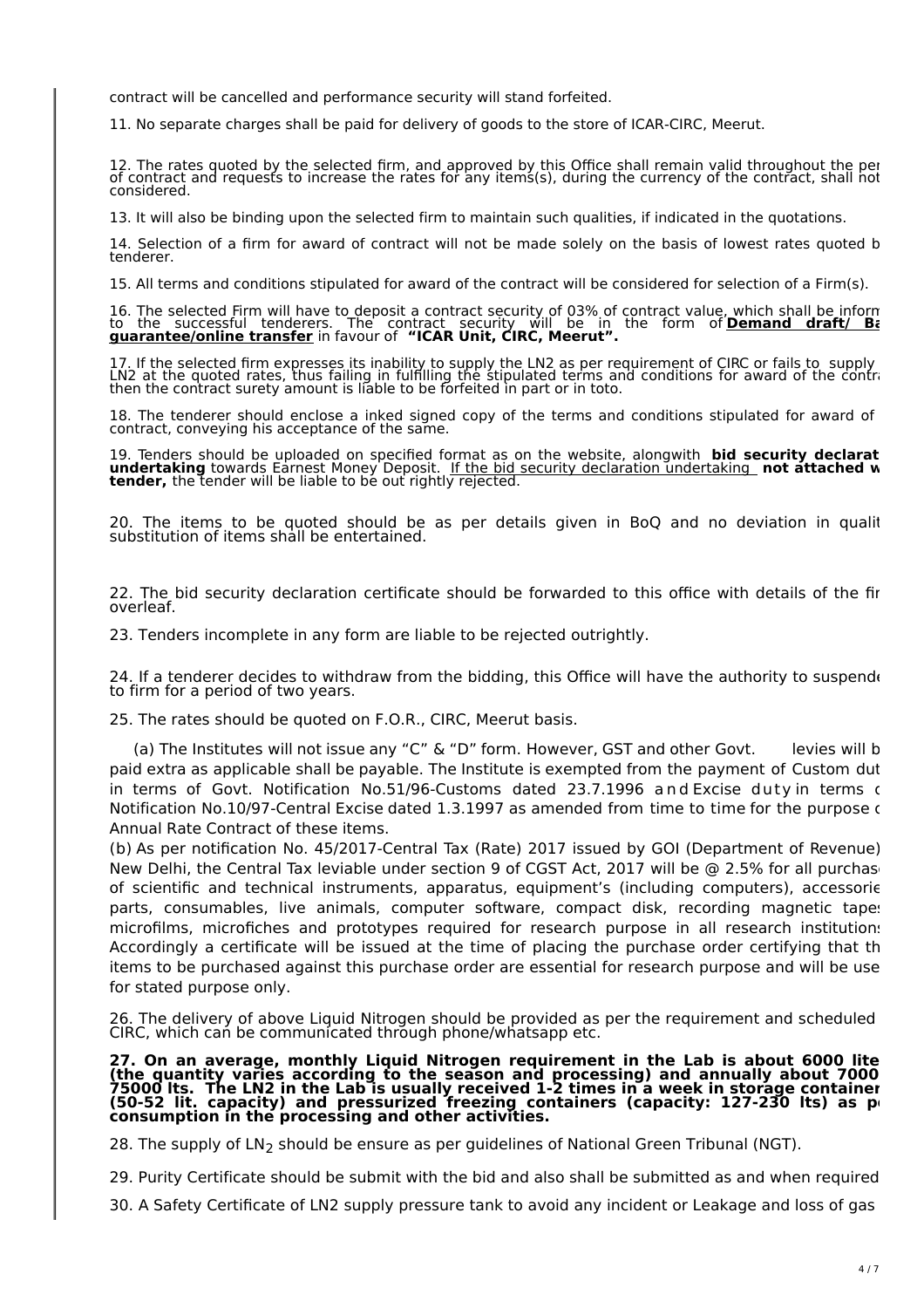contract will be cancelled and performance security will stand forfeited.

11. No separate charges shall be paid for delivery of goods to the store of ICAR-CIRC, Meerut.

12. The rates quoted by the selected firm, and approved by this Office shall remain valid throughout the per of contract and requests to increase the rates for any items(s), during the currency of the contract, shall not be considered.

13. It will also be binding upon the selected firm to maintain such qualities, if indicated in the quotations.

14. Selection of a firm for award of contract will not be made solely on the basis of lowest rates quoted b tenderer.

15. All terms and conditions stipulated for award of the contract will be considered for selection of a Firm(s).

16. The selected Firm will have to deposit a contract security of 03% of contract value, which shall be informed to the successful tenderers. The contract security will be in the form of **Demand draft/ Bank guarantee/online transfer** in favour of **"ICAR Unit, CIRC, Meerut".**

17. If the selected firm expresses its inability to supply the LN2 as per requirement of CIRC or fails to supply the LN2 at the quoted rates, thus failing in fulfilling the stipulated terms and conditions for award of the contract, then the contract surety amount is liable to be forfeited in part or in toto.

18. The tenderer should enclose a inked signed copy of the terms and conditions stipulated for award of contract, conveying his acceptance of the same.

19. Tenders should be uploaded on specified format as on the website, alongwith **bid security declaration undertaking** towards Earnest Money Deposit. If the bid security declaration undertaking **not attached with tender,** the tender will be liable to be out rightly rejected.

20. The items to be quoted should be as per details given in BoQ and no deviation in qualit substitution of items shall be entertained.

22. The bid security declaration certificate should be forwarded to this office with details of the fir overleaf.

23. Tenders incomplete in any form are liable to be rejected outrightly.

24. If a tenderer decides to withdraw from the bidding, this Office will have the authority to suspended to firm for a period of two years.

25. The rates should be quoted on F.O.R., CIRC, Meerut basis.

(a) The Institutes will not issue any "C" & "D" form. However, GST and other Govt. levies will b paid extra as applicable shall be payable. The Institute is exempted from the payment of Custom dut in terms of Govt. Notification No.51/96-Customs dated 23.7.1996 and Excise duty in terms c Notification No.10/97-Central Excise dated 1.3.1997 as amended from time to time for the purpose of Annual Rate Contract of these items.

(b) As per notification No. 45/2017-Central Tax (Rate) 2017 issued by GOI (Department of Revenue), New Delhi, the Central Tax leviable under section 9 of CGST Act, 2017 will be @ 2.5% for all purchase of scientific and technical instruments, apparatus, equipment's (including computers), accessories parts, consumables, live animals, computer software, compact disk, recording magnetic tapes microfilms, microfiches and prototypes required for research purpose in all research institutions. Accordingly a certificate will be issued at the time of placing the purchase order certifying that the items to be purchased against this purchase order are essential for research purpose and will be use for stated purpose only.

26. The delivery of above Liquid Nitrogen should be provided as per the requirement and scheduled CIRC, which can be communicated through phone/whatsapp etc.

**27. On an average, monthly Liquid Nitrogen requirement in the Lab is about 6000 liters (the quantity varies according to the season and processing) and annually about 70000- 75000 lts. The LN2 in the Lab is usually received 1-2 times in a week in storage containers (50-52 lit. capacity) and pressurized freezing containers (capacity: 127-230 lts) as per consumption in the processing and other activities.**

28. The supply of  $LN<sub>2</sub>$  should be ensure as per quidelines of National Green Tribunal (NGT).

29. Purity Certificate should be submit with the bid and also shall be submitted as and when required.

30. A Safety Certificate of LN2 supply pressure tank to avoid any incident or Leakage and loss of gas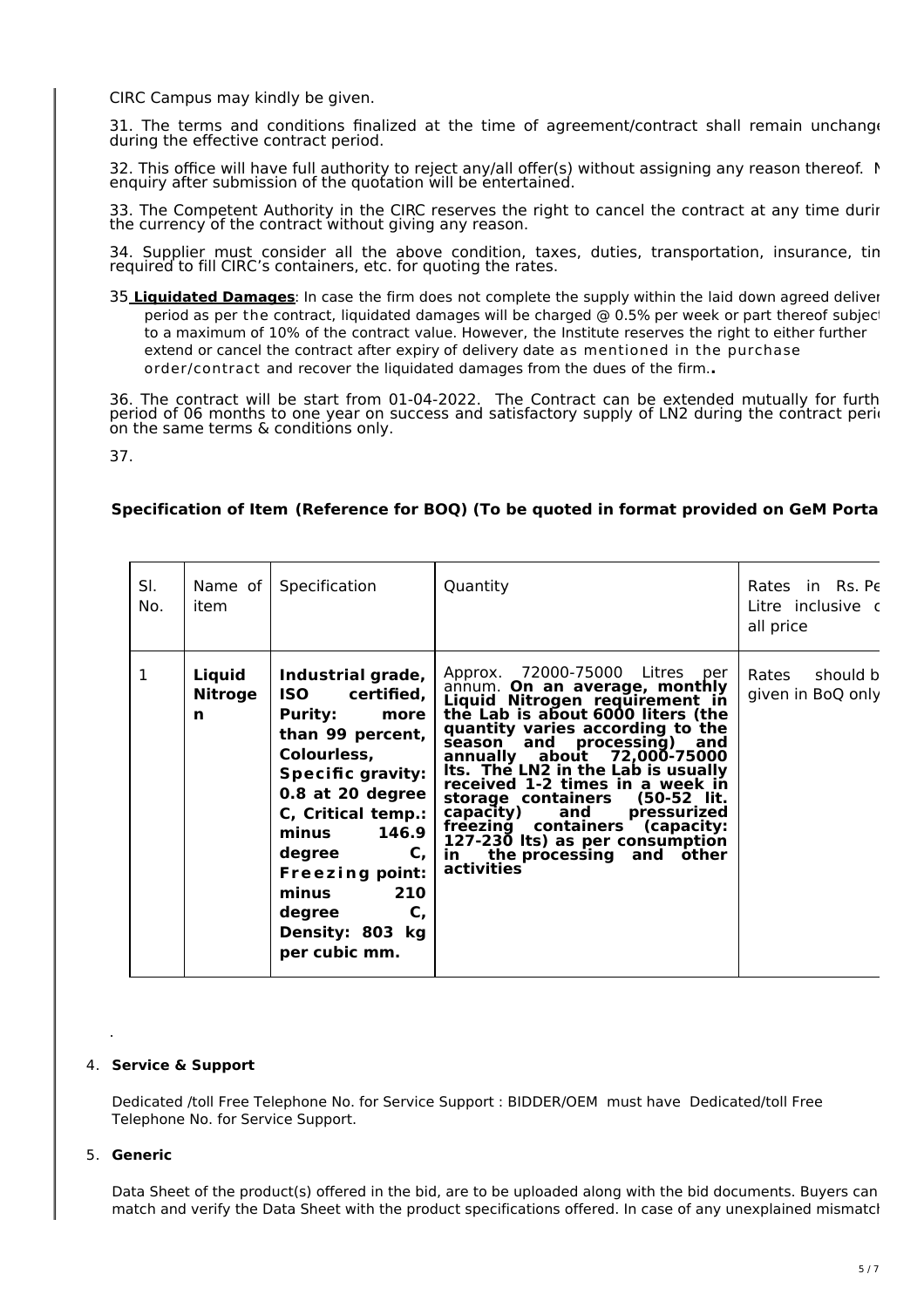CIRC Campus may kindly be given.

31. The terms and conditions finalized at the time of agreement/contract shall remain unchange during the effective contract period.

32. This office will have full authority to reject any/all offer(s) without assigning any reason thereof. No enquiry after submission of the quotation will be entertained.

33. The Competent Authority in the CIRC reserves the right to cancel the contract at any time durir the currency of the contract without giving any reason.

34. Supplier must consider all the above condition, taxes, duties, transportation, insurance, tin required to fill CIRC's containers, etc. for quoting the rates.

35 **Liquidated Damages**: In case the firm does not complete the supply within the laid down agreed delivery period as per the contract, liquidated damages will be charged @ 0.5% per week or part thereof subject to a maximum of 10% of the contract value. However, the Institute reserves the right to either further extend or cancel the contract after expiry of delivery date as mentioned in the purchase order/contract and recover the liquidated damages from the dues of the firm.**.**

36. The contract will be start from 01-04-2022. The Contract can be extended mutually for furth period of 06 months to one year on success and satisfactory supply of LN2 during the contract period on the same terms & conditions only.

37.

# **Specification of Item (Reference for BOQ) (To be quoted in format provided on GeM Portal)**

| SI.<br>No.   | Name of $\vert$<br>item       | Specification                                                                                                                                                                                                                                                                                                    | Quantity                                                                                                                                                                                                                                                                                                                                                                                                                                                                                                                      | Rates in Rs. Pe<br>Litre inclusive c<br>all price |
|--------------|-------------------------------|------------------------------------------------------------------------------------------------------------------------------------------------------------------------------------------------------------------------------------------------------------------------------------------------------------------|-------------------------------------------------------------------------------------------------------------------------------------------------------------------------------------------------------------------------------------------------------------------------------------------------------------------------------------------------------------------------------------------------------------------------------------------------------------------------------------------------------------------------------|---------------------------------------------------|
| $\mathbf{1}$ | Liquid<br><b>Nitroge</b><br>n | Industrial grade,<br><b>ISO</b><br>certified,<br><b>Purity:</b><br>more<br>than 99 percent,<br>Colourless,<br><b>Specific gravity:</b><br>0.8 at 20 degree<br>C, Critical temp.:<br>146.9<br>minus<br>C,<br>degree<br><b>Freezing point:</b><br>minus<br>210<br>C,<br>degree<br>Density: 803 kg<br>per cubic mm. | 72000-75000 Litres per<br>Approx.<br>annum. On an average, monthly<br>Liquid Nitrogen requirement in<br>the Lab is about 6000 liters (the<br>quantity varies according to the<br>processing)<br>season and<br>and<br>annually about 72,000-75000<br>Its. The LN2 in the Lab is usually<br>received 1-2 times in a week in<br>storage containers<br>(50-52 lit.<br>and<br>capacity)<br>pressurized<br>containers (capacity:<br>freezing<br>127-230 lts) as per consumption<br>the processing and<br>in.<br>other<br>activities | Rates should b<br>given in BoQ only               |

#### 4. **Service & Support**

Dedicated /toll Free Telephone No. for Service Support : BIDDER/OEM must have Dedicated/toll Free Telephone No. for Service Support.

#### 5. **Generic**

.

Data Sheet of the product(s) offered in the bid, are to be uploaded along with the bid documents. Buyers can match and verify the Data Sheet with the product specifications offered. In case of any unexplained mismatch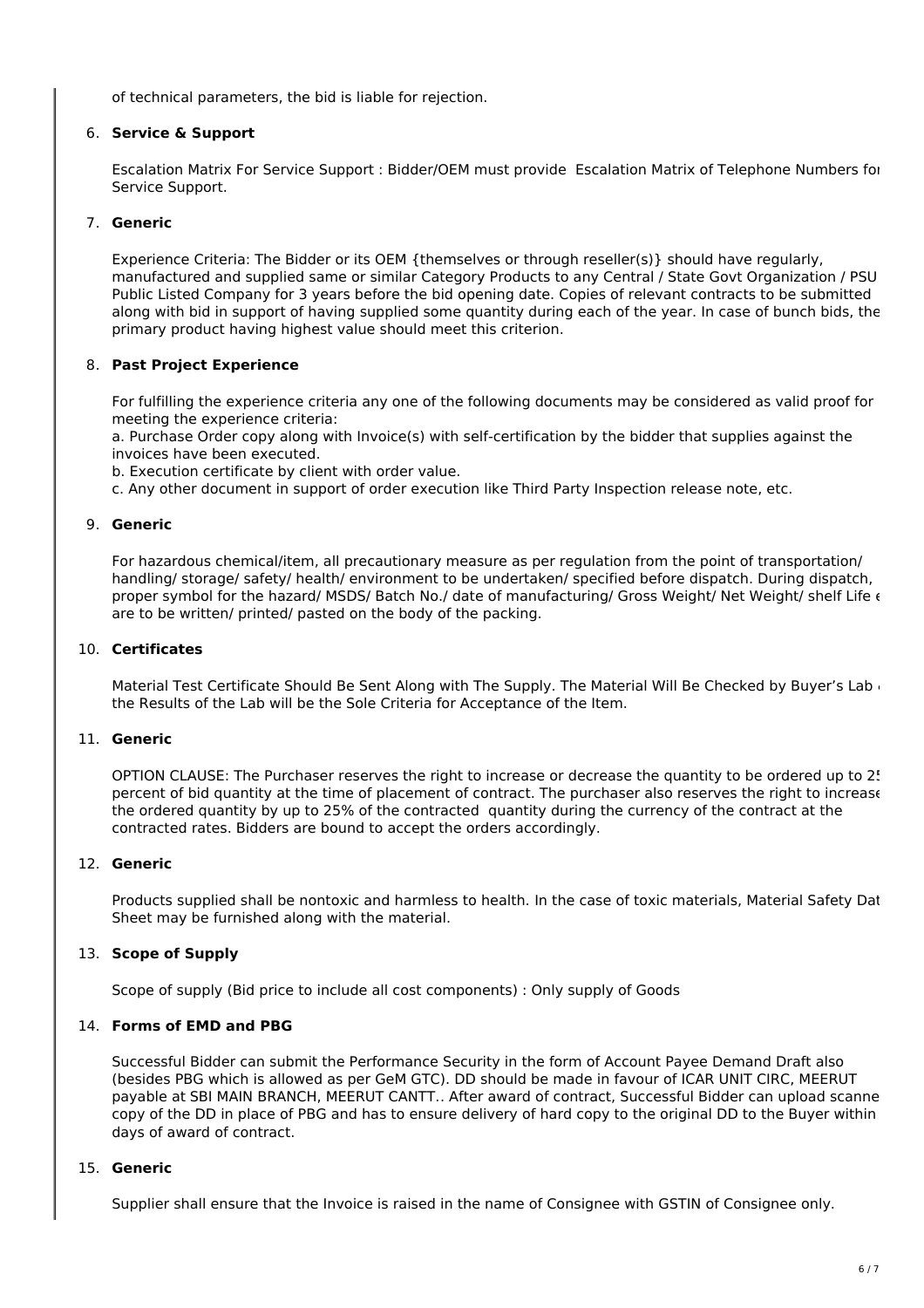of technical parameters, the bid is liable for rejection.

# 6. **Service & Support**

Escalation Matrix For Service Support : Bidder/OEM must provide Escalation Matrix of Telephone Numbers for Service Support.

# 7. **Generic**

Experience Criteria: The Bidder or its OEM {themselves or through reseller(s)} should have regularly, manufactured and supplied same or similar Category Products to any Central / State Govt Organization / PSU / Public Listed Company for 3 years before the bid opening date. Copies of relevant contracts to be submitted along with bid in support of having supplied some quantity during each of the year. In case of bunch bids, the primary product having highest value should meet this criterion.

### 8. **Past Project Experience**

For fulfilling the experience criteria any one of the following documents may be considered as valid proof for meeting the experience criteria:

a. Purchase Order copy along with Invoice(s) with self-certification by the bidder that supplies against the invoices have been executed.

b. Execution certificate by client with order value.

c. Any other document in support of order execution like Third Party Inspection release note, etc.

#### 9. **Generic**

For hazardous chemical/item, all precautionary measure as per regulation from the point of transportation/ handling/ storage/ safety/ health/ environment to be undertaken/ specified before dispatch. During dispatch, proper symbol for the hazard/ MSDS/ Batch No./ date of manufacturing/ Gross Weight/ Net Weight/ shelf Life  $\epsilon$ are to be written/ printed/ pasted on the body of the packing.

#### 10. **Certificates**

Material Test Certificate Should Be Sent Along with The Supply. The Material Will Be Checked by Buyer's Lab  $\ell$ the Results of the Lab will be the Sole Criteria for Acceptance of the Item.

## 11. **Generic**

OPTION CLAUSE: The Purchaser reserves the right to increase or decrease the quantity to be ordered up to 25 percent of bid quantity at the time of placement of contract. The purchaser also reserves the right to increase the ordered quantity by up to 25% of the contracted quantity during the currency of the contract at the contracted rates. Bidders are bound to accept the orders accordingly.

#### 12. **Generic**

Products supplied shall be nontoxic and harmless to health. In the case of toxic materials, Material Safety Dat Sheet may be furnished along with the material.

# 13. **Scope of Supply**

Scope of supply (Bid price to include all cost components) : Only supply of Goods

#### 14. **Forms of EMD and PBG**

Successful Bidder can submit the Performance Security in the form of Account Payee Demand Draft also (besides PBG which is allowed as per GeM GTC). DD should be made in favour of ICAR UNIT CIRC, MEERUT payable at SBI MAIN BRANCH, MEERUT CANTT.. After award of contract, Successful Bidder can upload scanne copy of the DD in place of PBG and has to ensure delivery of hard copy to the original DD to the Buyer within 15 days of award of contract.

#### 15. **Generic**

Supplier shall ensure that the Invoice is raised in the name of Consignee with GSTIN of Consignee only.